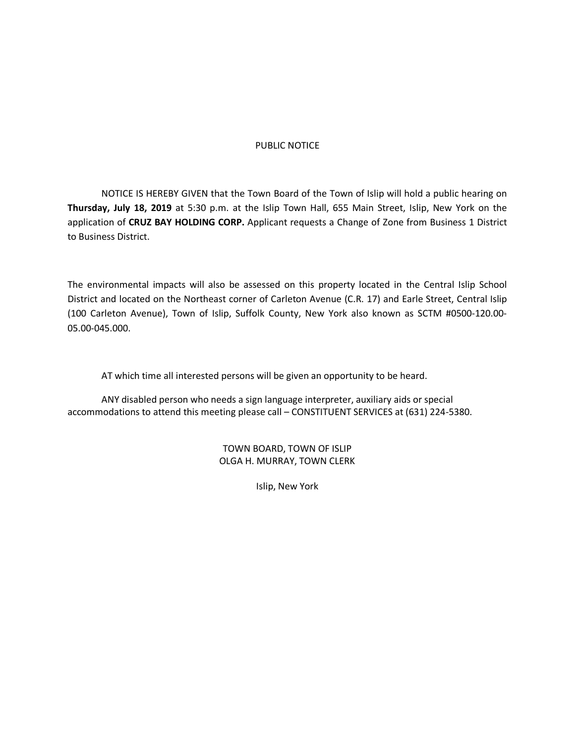### PUBLIC NOTICE

NOTICE IS HEREBY GIVEN that the Town Board of the Town of Islip will hold a public hearing on **Thursday, July 18, 2019** at 5:30 p.m. at the Islip Town Hall, 655 Main Street, Islip, New York on the application of **CRUZ BAY HOLDING CORP.** Applicant requests a Change of Zone from Business 1 District to Business District.

The environmental impacts will also be assessed on this property located in the Central Islip School District and located on the Northeast corner of Carleton Avenue (C.R. 17) and Earle Street, Central Islip (100 Carleton Avenue), Town of Islip, Suffolk County, New York also known as SCTM #0500-120.00- 05.00-045.000.

AT which time all interested persons will be given an opportunity to be heard.

ANY disabled person who needs a sign language interpreter, auxiliary aids or special accommodations to attend this meeting please call – CONSTITUENT SERVICES at (631) 224-5380.

> TOWN BOARD, TOWN OF ISLIP OLGA H. MURRAY, TOWN CLERK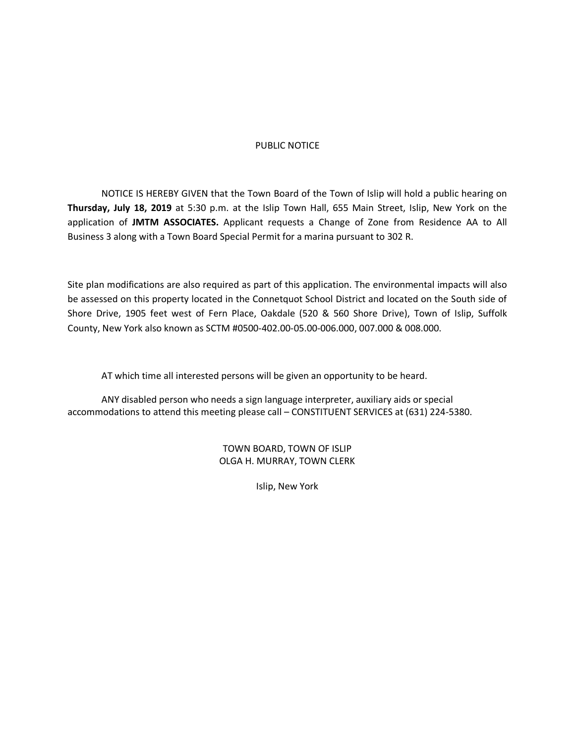### PUBLIC NOTICE

NOTICE IS HEREBY GIVEN that the Town Board of the Town of Islip will hold a public hearing on **Thursday, July 18, 2019** at 5:30 p.m. at the Islip Town Hall, 655 Main Street, Islip, New York on the application of **JMTM ASSOCIATES.** Applicant requests a Change of Zone from Residence AA to All Business 3 along with a Town Board Special Permit for a marina pursuant to 302 R.

Site plan modifications are also required as part of this application. The environmental impacts will also be assessed on this property located in the Connetquot School District and located on the South side of Shore Drive, 1905 feet west of Fern Place, Oakdale (520 & 560 Shore Drive), Town of Islip, Suffolk County, New York also known as SCTM #0500-402.00-05.00-006.000, 007.000 & 008.000.

AT which time all interested persons will be given an opportunity to be heard.

ANY disabled person who needs a sign language interpreter, auxiliary aids or special accommodations to attend this meeting please call – CONSTITUENT SERVICES at (631) 224-5380.

> TOWN BOARD, TOWN OF ISLIP OLGA H. MURRAY, TOWN CLERK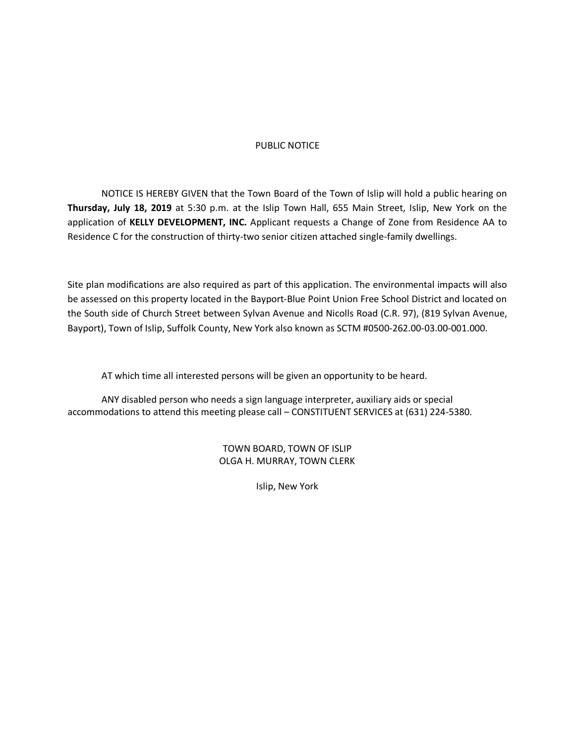### PUBLIC NOTICE

NOTICE IS HEREBY GIVEN that the Town Board of the Town of Islip will hold a public hearing on **Thursday, July 18, 2019** at 5:30 p.m. at the Islip Town Hall, 655 Main Street, Islip, New York on the application of **KELLY DEVELOPMENT, INC.** Applicant requests a Change of Zone from Residence AA to Residence C for the construction of thirty-two senior citizen attached single-family dwellings.

Site plan modifications are also required as part of this application. The environmental impacts will also be assessed on this property located in the Bayport-Blue Point Union Free School District and located on the South side of Church Street between Sylvan Avenue and Nicolls Road (C.R. 97), (819 Sylvan Avenue, Bayport), Town of Islip, Suffolk County, New York also known as SCTM #0500-262.00-03.00-001.000.

AT which time all interested persons will be given an opportunity to be heard.

ANY disabled person who needs a sign language interpreter, auxiliary aids or special accommodations to attend this meeting please call – CONSTITUENT SERVICES at (631) 224-5380.

> TOWN BOARD, TOWN OF ISLIP OLGA H. MURRAY, TOWN CLERK